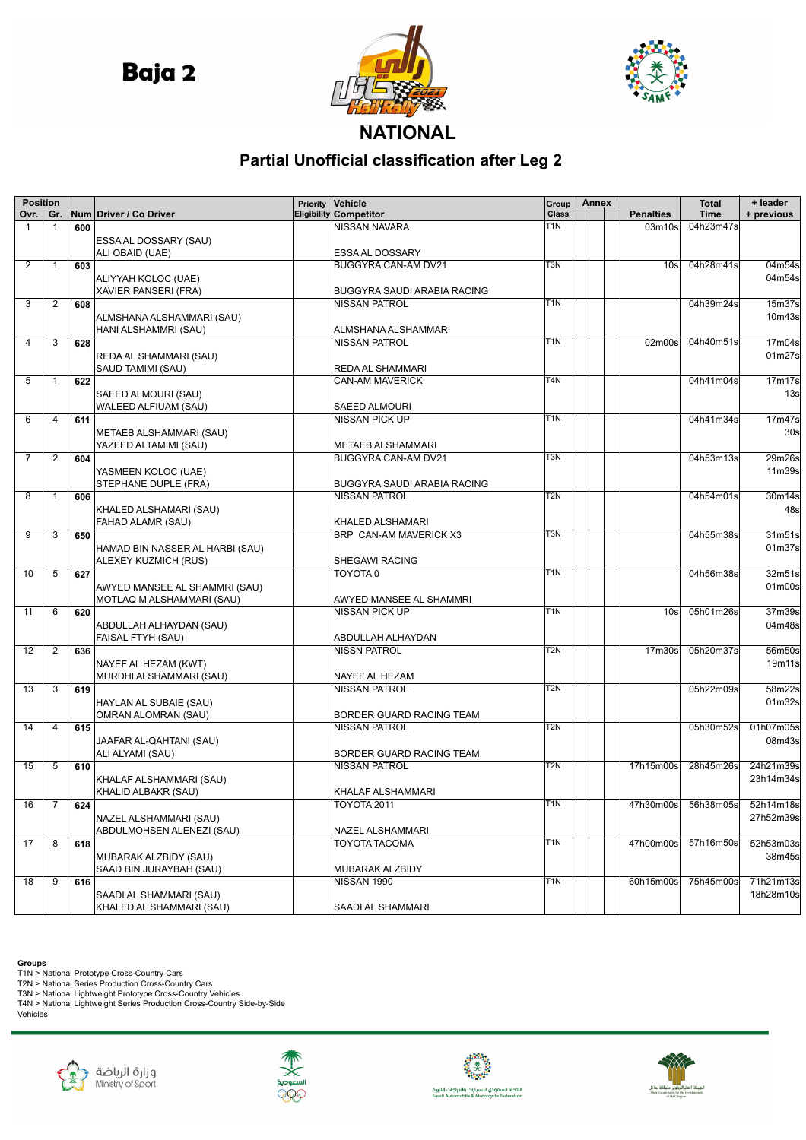**Baja 2** 





## **NATIONAL**

## **Partial Unofficial classification after Leg 2**

| <b>Position</b> |              |     |                                 | Priority | Vehicle                           | Group            | <b>Annex</b> |                                 | <b>Total</b> | + leader                        |
|-----------------|--------------|-----|---------------------------------|----------|-----------------------------------|------------------|--------------|---------------------------------|--------------|---------------------------------|
| Ovr.            | Gr.          |     | Num Driver / Co Driver          |          | <b>Eligibility Competitor</b>     | Class            |              | <b>Penalties</b>                | <b>Time</b>  | + previous                      |
| $\mathbf{1}$    | $\mathbf{1}$ | 600 |                                 |          | NISSAN NAVARA                     | T1N              |              | 03 <sub>m</sub> 10 <sub>s</sub> | 04h23m47s    |                                 |
|                 |              |     | ESSA AL DOSSARY (SAU)           |          |                                   |                  |              |                                 |              |                                 |
|                 |              |     | ALI OBAID (UAE)                 |          | ESSA AL DOSSARY                   |                  |              |                                 |              |                                 |
| 2               | 1            | 603 |                                 |          | <b>BUGGYRA CAN-AM DV21</b>        | T3N              |              | 10 <sub>s</sub>                 | 04h28m41s    | 04m54s                          |
|                 |              |     | ALIYYAH KOLOC (UAE)             |          |                                   |                  |              |                                 |              | 04m54s                          |
|                 |              |     | <b>XAVIER PANSERI (FRA)</b>     |          | BUGGYRA SAUDI ARABIA RACING       |                  |              |                                 |              |                                 |
| 3               | 2            | 608 |                                 |          | <b>NISSAN PATROL</b>              | T <sub>1</sub> N |              |                                 | 04h39m24s    | 15m37s                          |
|                 |              |     | ALMSHANA ALSHAMMARI (SAU)       |          |                                   |                  |              |                                 |              | 10m43s                          |
|                 |              |     | HANI ALSHAMMRI (SAU)            |          | ALMSHANA ALSHAMMARI               |                  |              |                                 |              |                                 |
| 4               | 3            | 628 |                                 |          | <b>NISSAN PATROL</b>              | T1N              |              | 02m00s                          | 04h40m51s    | 17m04s                          |
|                 |              |     | REDA AL SHAMMARI (SAU)          |          |                                   |                  |              |                                 |              | 01m27s                          |
|                 |              |     | SAUD TAMIMI (SAU)               |          | REDA AL SHAMMARI                  |                  |              |                                 |              |                                 |
| 5               | 1            | 622 |                                 |          | CAN-AM MAVERICK                   | T <sub>4</sub> N |              |                                 | 04h41m04s    | 17 <sub>m</sub> 17 <sub>s</sub> |
|                 |              |     | SAEED ALMOURI (SAU)             |          |                                   |                  |              |                                 |              | 13 <sub>s</sub>                 |
|                 |              |     | WALEED ALFIUAM (SAU)            |          | <b>SAEED ALMOURI</b>              |                  |              |                                 |              |                                 |
| 6               | 4            | 611 |                                 |          | <b>NISSAN PICK UP</b>             | T1N              |              |                                 | 04h41m34s    | 17m47s                          |
|                 |              |     | METAEB ALSHAMMARI (SAU)         |          |                                   |                  |              |                                 |              | 30s                             |
|                 |              |     | YAZEED ALTAMIMI (SAU)           |          | <b>METAEB ALSHAMMARI</b>          |                  |              |                                 |              |                                 |
| 7               | 2            | 604 |                                 |          | BUGGYRA CAN-AM DV21               | T <sub>3</sub> N |              |                                 | 04h53m13s    | 29m26s                          |
|                 |              |     | YASMEEN KOLOC (UAE)             |          |                                   |                  |              |                                 |              | 11m39s                          |
|                 |              |     | STEPHANE DUPLE (FRA)            |          | BUGGYRA SAUDI ARABIA RACING       |                  |              |                                 |              |                                 |
| 8               | 1            | 606 |                                 |          | <b>NISSAN PATROL</b>              | T2N              |              |                                 | 04h54m01s    | 30m14s                          |
|                 |              |     | KHALED ALSHAMARI (SAU)          |          |                                   |                  |              |                                 |              | 48s                             |
|                 |              |     | FAHAD ALAMR (SAU)               |          | KHALED ALSHAMARI                  |                  |              |                                 |              |                                 |
| 9               | 3            | 650 |                                 |          | BRP CAN-AM MAVERICK X3            | T3N              |              |                                 | 04h55m38s    | 31m51s                          |
|                 |              |     |                                 |          |                                   |                  |              |                                 |              | 01m37s                          |
|                 |              |     | HAMAD BIN NASSER AL HARBI (SAU) |          |                                   |                  |              |                                 |              |                                 |
| 10              |              |     | ALEXEY KUZMICH (RUS)            |          | <b>SHEGAWI RACING</b><br>TOYOTA 0 | T <sub>1</sub> N |              |                                 |              |                                 |
|                 | 5            | 627 |                                 |          |                                   |                  |              |                                 | 04h56m38s    | 32m51s                          |
|                 |              |     | AWYED MANSEE AL SHAMMRI (SAU)   |          |                                   |                  |              |                                 |              | 01m00s                          |
|                 |              |     | MOTLAQ M ALSHAMMARI (SAU)       |          | AWYED MANSEE AL SHAMMRI           | T <sub>1</sub> N |              |                                 |              |                                 |
| 11              | 6            | 620 |                                 |          | <b>NISSAN PICK UP</b>             |                  |              | 10 <sub>s</sub>                 | 05h01m26s    | 37m39s                          |
|                 |              |     | ABDULLAH ALHAYDAN (SAU)         |          |                                   |                  |              |                                 |              | 04m48s                          |
|                 |              |     | FAISAL FTYH (SAU)               |          | ABDULLAH ALHAYDAN                 | T2N              |              |                                 |              |                                 |
| 12              | 2            | 636 |                                 |          | <b>NISSN PATROL</b>               |                  |              | 17 <sub>m30s</sub>              | 05h20m37s    | 56m50s                          |
|                 |              |     | NAYEF AL HEZAM (KWT)            |          |                                   |                  |              |                                 |              | 19m11s                          |
|                 |              |     | MURDHI ALSHAMMARI (SAU)         |          | NAYEF AL HEZAM                    |                  |              |                                 |              |                                 |
| 13              | 3            | 619 |                                 |          | <b>NISSAN PATROL</b>              | $\overline{T}2N$ |              |                                 | 05h22m09s    | 58m22s                          |
|                 |              |     | HAYLAN AL SUBAIE (SAU)          |          |                                   |                  |              |                                 |              | 01m32s                          |
|                 |              |     | OMRAN ALOMRAN (SAU)             |          | BORDER GUARD RACING TEAM          |                  |              |                                 |              |                                 |
| 14              | 4            | 615 |                                 |          | <b>NISSAN PATROL</b>              | T2N              |              |                                 | 05h30m52s    | 01h07m05s                       |
|                 |              |     | JAAFAR AL-QAHTANI (SAU)         |          |                                   |                  |              |                                 |              | 08m43s                          |
|                 |              |     | ALI ALYAMI (SAU)                |          | BORDER GUARD RACING TEAM          |                  |              |                                 |              |                                 |
| 15              | 5            | 610 |                                 |          | <b>NISSAN PATROL</b>              | T2N              |              | 17h15m00s                       | 28h45m26s    | 24h21m39s                       |
|                 |              |     | KHALAF ALSHAMMARI (SAU)         |          |                                   |                  |              |                                 |              | 23h14m34s                       |
|                 |              |     | KHALID ALBAKR (SAU)             |          | KHALAF ALSHAMMARI                 |                  |              |                                 |              |                                 |
| $16$ 7          |              | 624 |                                 |          | <b>TOYOTA 2011</b>                | T <sub>1N</sub>  |              | 47h30m00s 56h38m05s 52h14m18s   |              |                                 |
|                 |              |     | NAZEL ALSHAMMARI (SAU)          |          |                                   |                  |              |                                 |              | 27h52m39s                       |
|                 |              |     | ABDULMOHSEN ALENEZI (SAU)       |          | NAZEL ALSHAMMARI                  |                  |              |                                 |              |                                 |
| 17              | 8            | 618 |                                 |          | <b>TOYOTA TACOMA</b>              | T <sub>1</sub> N |              | 47h00m00s                       | 57h16m50s    | 52h53m03s                       |
|                 |              |     | MUBARAK ALZBIDY (SAU)           |          |                                   |                  |              |                                 |              | 38m45s                          |
|                 |              |     | SAAD BIN JURAYBAH (SAU)         |          | MUBARAK ALZBIDY                   |                  |              |                                 |              |                                 |
| 18              | 9            | 616 |                                 |          | NISSAN 1990                       | T <sub>1</sub> N |              | 60h15m00s                       | 75h45m00s    | 71h21m13s                       |
|                 |              |     | SAADI AL SHAMMARI (SAU)         |          |                                   |                  |              |                                 |              | 18h28m10s                       |
|                 |              |     | KHALED AL SHAMMARI (SAU)        |          | SAADI AL SHAMMARI                 |                  |              |                                 |              |                                 |

**Groups**<br>T1N > National Prototype Cross-Country Cars<br>T2N > National Series Production Cross-Country Cars<br>T3N > National Lightweight Prototype Cross-Country Vehicles<br>T4N > National Lightweight Series Production Cross-Countr